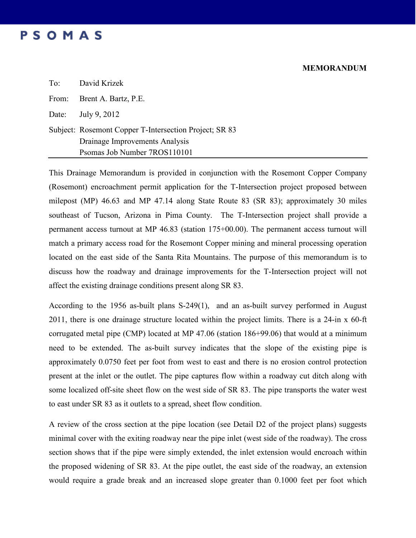## **MEMORANDUM**

| PSOMAS |  |  |  |  |  |  |
|--------|--|--|--|--|--|--|
|--------|--|--|--|--|--|--|

| To: David Krizek                                       |
|--------------------------------------------------------|
| From: Brent A. Bartz, P.E.                             |
| Date: July 9, 2012                                     |
| Subject: Rosemont Copper T-Intersection Project; SR 83 |
| Drainage Improvements Analysis                         |
| Psomas Job Number 7ROS110101                           |

This Drainage Memorandum is provided in conjunction with the Rosemont Copper Company (Rosemont) encroachment permit application for the T-Intersection project proposed between milepost (MP) 46.63 and MP 47.14 along State Route 83 (SR 83); approximately 30 miles southeast of Tucson, Arizona in Pima County. The T-Intersection project shall provide a permanent access turnout at MP 46.83 (station 175+00.00). The permanent access turnout will match a primary access road for the Rosemont Copper mining and mineral processing operation located on the east side of the Santa Rita Mountains. The purpose of this memorandum is to discuss how the roadway and drainage improvements for the T-Intersection project will not affect the existing drainage conditions present along SR 83.

According to the 1956 as-built plans S-249(1), and an as-built survey performed in August 2011, there is one drainage structure located within the project limits. There is a 24-in x 60-ft corrugated metal pipe (CMP) located at MP 47.06 (station 186+99.06) that would at a minimum need to be extended. The as-built survey indicates that the slope of the existing pipe is approximately 0.0750 feet per foot from west to east and there is no erosion control protection present at the inlet or the outlet. The pipe captures flow within a roadway cut ditch along with some localized off-site sheet flow on the west side of SR 83. The pipe transports the water west to east under SR 83 as it outlets to a spread, sheet flow condition.

A review of the cross section at the pipe location (see Detail D2 of the project plans) suggests minimal cover with the exiting roadway near the pipe inlet (west side of the roadway). The cross section shows that if the pipe were simply extended, the inlet extension would encroach within the proposed widening of SR 83. At the pipe outlet, the east side of the roadway, an extension would require a grade break and an increased slope greater than 0.1000 feet per foot which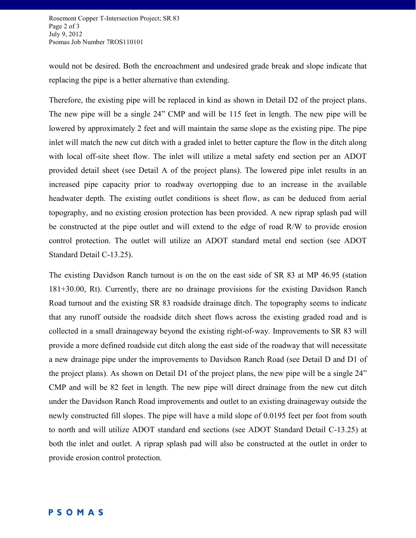Rosemont Copper T-Intersection Project; SR 83 Page 2 of 3 July 9, 2012 Psomas Job Number 7ROS110101

would not be desired. Both the encroachment and undesired grade break and slope indicate that replacing the pipe is a better alternative than extending.

Therefore, the existing pipe will be replaced in kind as shown in Detail D2 of the project plans. The new pipe will be a single 24" CMP and will be 115 feet in length. The new pipe will be lowered by approximately 2 feet and will maintain the same slope as the existing pipe. The pipe inlet will match the new cut ditch with a graded inlet to better capture the flow in the ditch along with local off-site sheet flow. The inlet will utilize a metal safety end section per an ADOT provided detail sheet (see Detail A of the project plans). The lowered pipe inlet results in an increased pipe capacity prior to roadway overtopping due to an increase in the available headwater depth. The existing outlet conditions is sheet flow, as can be deduced from aerial topography, and no existing erosion protection has been provided. A new riprap splash pad will be constructed at the pipe outlet and will extend to the edge of road R/W to provide erosion control protection. The outlet will utilize an ADOT standard metal end section (see ADOT Standard Detail C-13.25).

The existing Davidson Ranch turnout is on the on the east side of SR 83 at MP 46.95 (station 181+30.00, Rt). Currently, there are no drainage provisions for the existing Davidson Ranch Road turnout and the existing SR 83 roadside drainage ditch. The topography seems to indicate that any runoff outside the roadside ditch sheet flows across the existing graded road and is collected in a small drainageway beyond the existing right-of-way. Improvements to SR 83 will provide a more defined roadside cut ditch along the east side of the roadway that will necessitate a new drainage pipe under the improvements to Davidson Ranch Road (see Detail D and D1 of the project plans). As shown on Detail D1 of the project plans, the new pipe will be a single 24" CMP and will be 82 feet in length. The new pipe will direct drainage from the new cut ditch under the Davidson Ranch Road improvements and outlet to an existing drainageway outside the newly constructed fill slopes. The pipe will have a mild slope of 0.0195 feet per foot from south to north and will utilize ADOT standard end sections (see ADOT Standard Detail C-13.25) at both the inlet and outlet. A riprap splash pad will also be constructed at the outlet in order to provide erosion control protection.